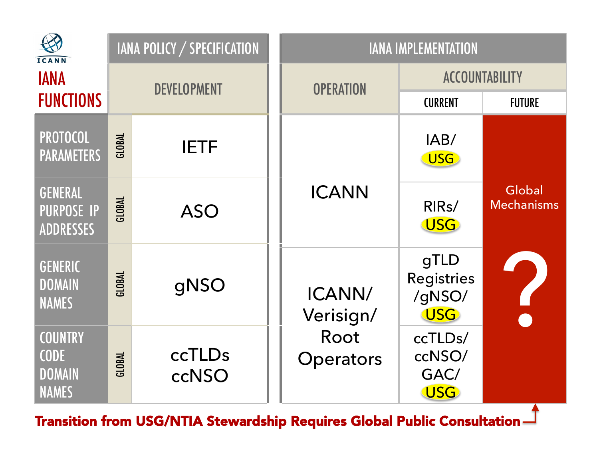| <b>ICANN</b>                                                   | <b>IANA POLICY / SPECIFICATION</b> |                 | <b>IANA IMPLEMENTATION</b>               |                                                   |                             |
|----------------------------------------------------------------|------------------------------------|-----------------|------------------------------------------|---------------------------------------------------|-----------------------------|
| <b>IANA</b>                                                    | <b>DEVELOPMENT</b>                 |                 | <b>OPERATION</b>                         | <b>ACCOUNTABILITY</b>                             |                             |
| <b>FUNCTIONS</b>                                               |                                    |                 |                                          | <b>CURRENT</b>                                    | <b>FUTURE</b>               |
| <b>PROTOCOL</b><br><b>PARAMETERS</b>                           | <b>GLOBAL</b>                      | <b>IETF</b>     |                                          | IAB/<br><b>USG</b>                                |                             |
| <b>GENERAL</b><br><b>PURPOSE IP</b><br><b>ADDRESSES</b>        | GLOBAL                             | <b>ASO</b>      | <b>ICANN</b>                             | RIR <sub>s</sub> /<br><b>USG</b>                  | Global<br><b>Mechanisms</b> |
| <b>GENERIC</b><br><b>DOMAIN</b><br><b>NAMES</b>                | <b>GLOBAL</b>                      | gNSO            | ICANN/<br>Verisign/<br>Root<br>Operators | gTLD<br><b>Registries</b><br>/gNSO/<br><b>USG</b> |                             |
| <b>COUNTRY</b><br><b>CODE</b><br><b>DOMAIN</b><br><b>NAMES</b> | GLOBAL                             | ccTLDs<br>ccNSO |                                          | ccTLDs/<br>ccNSO/<br>GAC/<br><b>USG</b>           |                             |

Transition from USG/NTIA Stewardship Requires Global Public Consultation